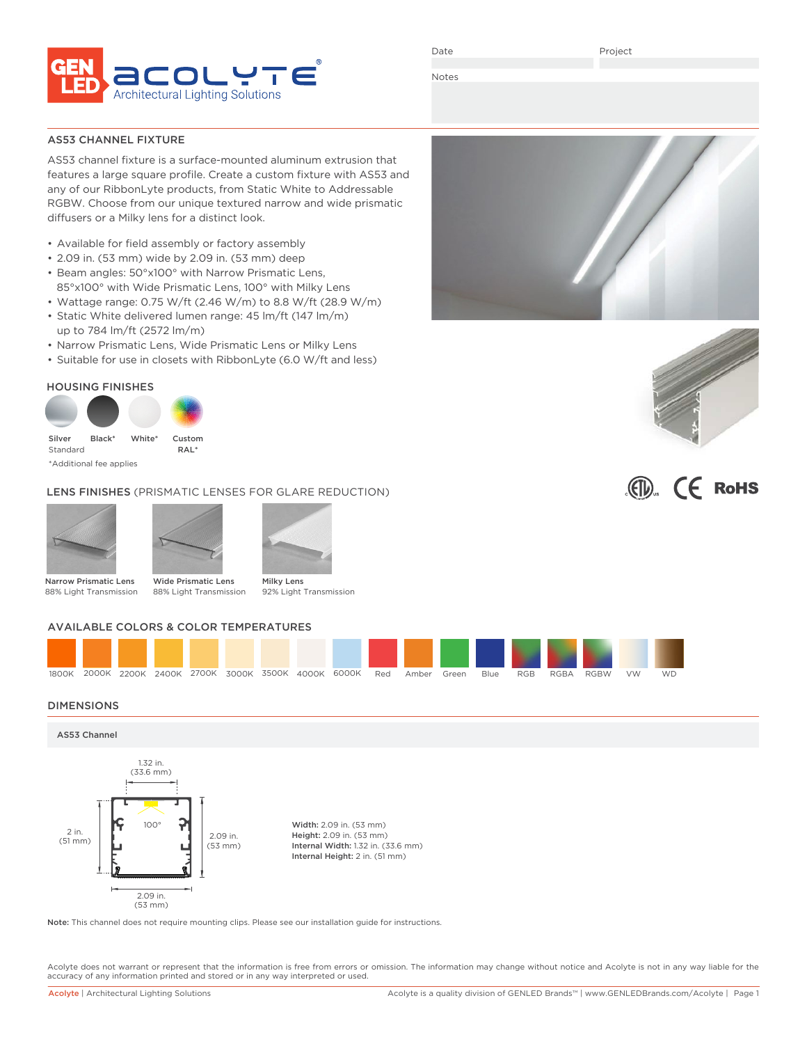

Date

Project

Notes

AS53 CHANNEL FIXTURE

AS53 channel fixture is a surface-mounted aluminum extrusion that features a large square profile. Create a custom fixture with AS53 and any of our RibbonLyte products, from Static White to Addressable RGBW. Choose from our unique textured narrow and wide prismatic diffusers or a Milky lens for a distinct look.

- Available for field assembly or factory assembly
- 2.09 in. (53 mm) wide by 2.09 in. (53 mm) deep
- Beam angles: 50°x100° with Narrow Prismatic Lens, 85°x100° with Wide Prismatic Lens, 100° with Milky Lens
- Wattage range: 0.75 W/ft (2.46 W/m) to 8.8 W/ft (28.9 W/m)
- Static White delivered lumen range: 45 lm/ft (147 lm/m) up to 784 lm/ft (2572 lm/m)
- Narrow Prismatic Lens, Wide Prismatic Lens or Milky Lens
- Suitable for use in closets with RibbonLyte (6.0 W/ft and less)

### HOUSING FINISHES



### LENS FINISHES (PRISMATIC LENSES FOR GLARE REDUCTION)





Narrow Prismatic Lens 88% Light Transmission

Wide Prismatic Lens 88% Light Transmission 92% Light Transmission

### AVAILABLE COLORS & COLOR TEMPERATURES



#### DIMENSIONS



Note: This channel does not require mounting clips. Please see our installation guide for instructions.

Acolyte does not warrant or represent that the information is free from errors or omission. The information may change without notice and Acolyte is not in any way liable for the accuracy of any information printed and stored or in any way interpreted or used.





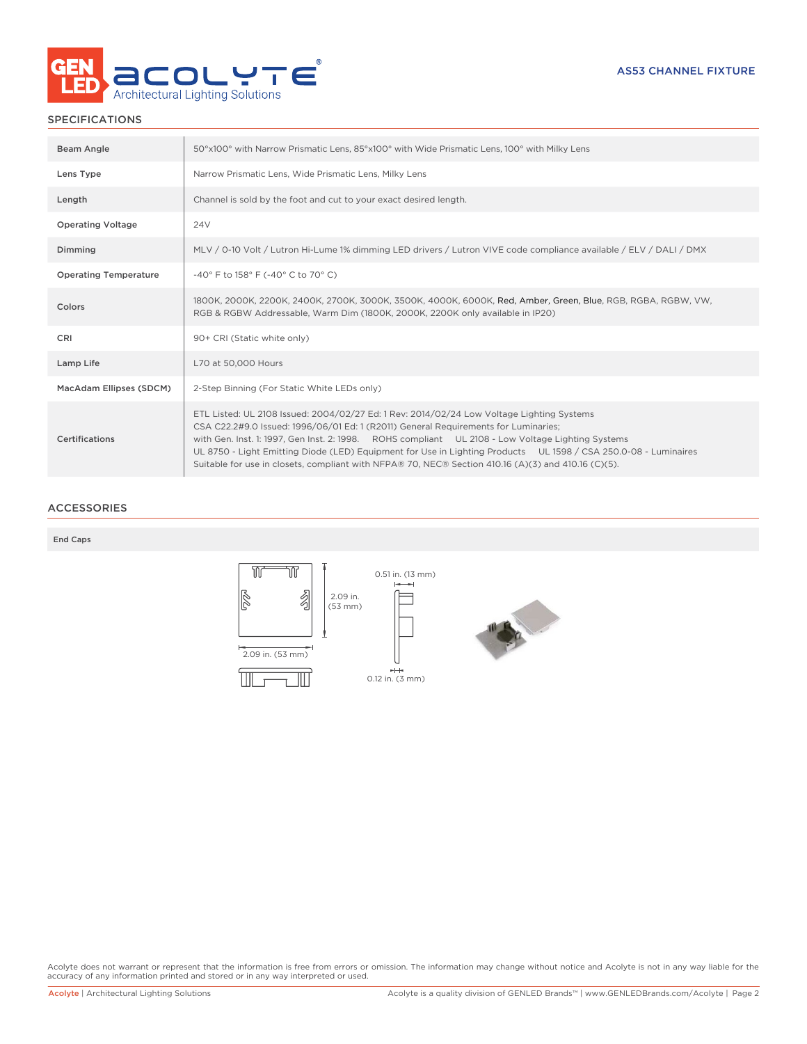

### SPECIFICATIONS

| Beam Angle                   | 50°x100° with Narrow Prismatic Lens, 85°x100° with Wide Prismatic Lens, 100° with Milky Lens                                                                                                                                                                                                                                                                                                                                                                                                                    |
|------------------------------|-----------------------------------------------------------------------------------------------------------------------------------------------------------------------------------------------------------------------------------------------------------------------------------------------------------------------------------------------------------------------------------------------------------------------------------------------------------------------------------------------------------------|
| Lens Type                    | Narrow Prismatic Lens, Wide Prismatic Lens, Milky Lens                                                                                                                                                                                                                                                                                                                                                                                                                                                          |
| Length                       | Channel is sold by the foot and cut to your exact desired length.                                                                                                                                                                                                                                                                                                                                                                                                                                               |
| <b>Operating Voltage</b>     | 24 <sub>V</sub>                                                                                                                                                                                                                                                                                                                                                                                                                                                                                                 |
| Dimming                      | MLV / 0-10 Volt / Lutron Hi-Lume 1% dimming LED drivers / Lutron VIVE code compliance available / ELV / DALI / DMX                                                                                                                                                                                                                                                                                                                                                                                              |
| <b>Operating Temperature</b> | -40° F to 158° F (-40° C to 70° C)                                                                                                                                                                                                                                                                                                                                                                                                                                                                              |
| Colors                       | 1800K, 2000K, 2200K, 2400K, 2700K, 3000K, 3500K, 4000K, 6000K, Red, Amber, Green, Blue, RGB, RGBA, RGBW, VW,<br>RGB & RGBW Addressable, Warm Dim (1800K, 2000K, 2200K only available in IP20)                                                                                                                                                                                                                                                                                                                   |
| CRI                          | 90+ CRI (Static white only)                                                                                                                                                                                                                                                                                                                                                                                                                                                                                     |
| Lamp Life                    | L70 at 50,000 Hours                                                                                                                                                                                                                                                                                                                                                                                                                                                                                             |
| MacAdam Ellipses (SDCM)      | 2-Step Binning (For Static White LEDs only)                                                                                                                                                                                                                                                                                                                                                                                                                                                                     |
| Certifications               | ETL Listed: UL 2108 Issued: 2004/02/27 Ed: 1 Rev: 2014/02/24 Low Voltage Lighting Systems<br>CSA C22.2#9.0 Issued: 1996/06/01 Ed: 1 (R2011) General Requirements for Luminaries;<br>with Gen. Inst. 1: 1997, Gen Inst. 2: 1998. ROHS compliant UL 2108 - Low Voltage Lighting Systems<br>UL 8750 - Light Emitting Diode (LED) Equipment for Use in Lighting Products UL 1598 / CSA 250.0-08 - Luminaires<br>Suitable for use in closets, compliant with NFPA® 70, NEC® Section 410.16 (A)(3) and 410.16 (C)(5). |

### ACCESSORIES

#### End Caps



Acolyte does not warrant or represent that the information is free from errors or omission. The information may change without notice and Acolyte is not in any way liable for the<br>accuracy of any information printed and sto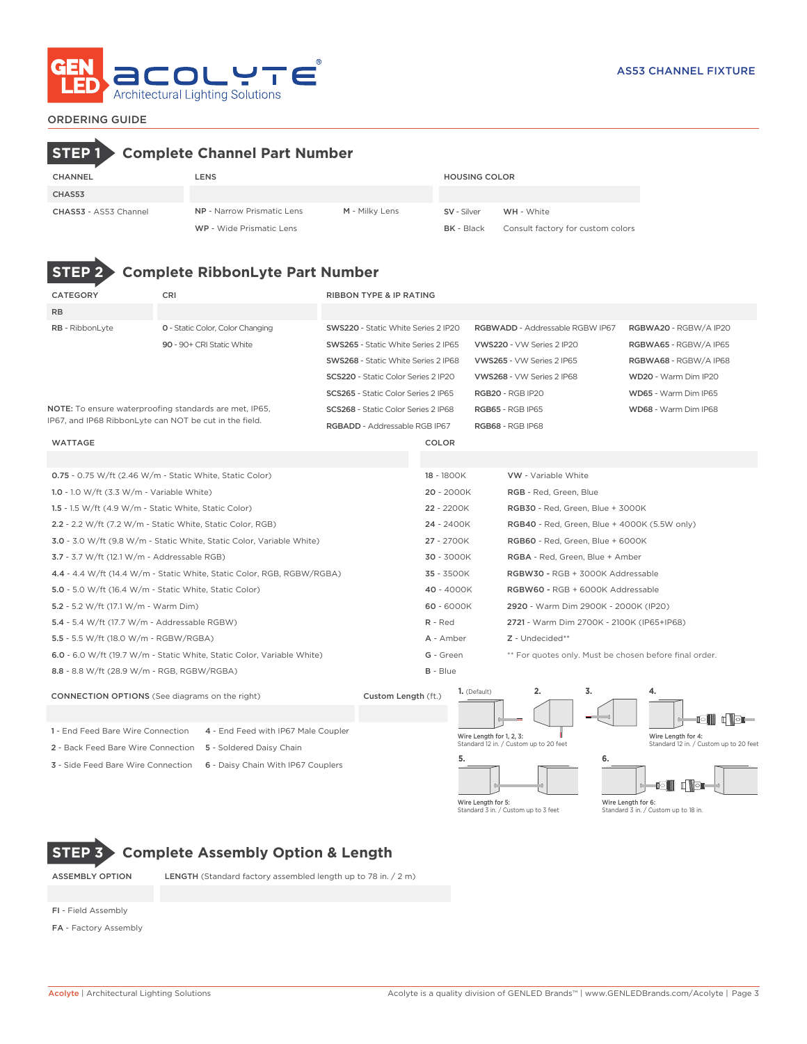

# CHANNEL LENS HOUSING COLOR CHAS53 CHAS53 - AS53 Channel NP - Narrow Prismatic Lens M - Milky Lens SV - Silver WH - White WP - Wide Prismatic Lens **BK** - Black Consult factory for custom colors **STEP 1 Complete Channel Part Number**



# **STEP 2 Complete RibbonLyte Part Number**

| <b>CATEGORY</b>                                        | CRI                                                                    | <b>RIBBON TYPE &amp; IP RATING</b>         |                 |                          |                                                        |    |                       |                                        |
|--------------------------------------------------------|------------------------------------------------------------------------|--------------------------------------------|-----------------|--------------------------|--------------------------------------------------------|----|-----------------------|----------------------------------------|
| <b>RB</b>                                              |                                                                        |                                            |                 |                          |                                                        |    |                       |                                        |
| RB - RibbonLyte                                        | <b>0</b> - Static Color, Color Changing                                | SWS220 - Static White Series 2 IP20        |                 |                          | RGBWADD - Addressable RGBW IP67                        |    | RGBWA20 - RGBW/A IP20 |                                        |
|                                                        | 90 - 90+ CRI Static White                                              | <b>SWS265 - Static White Series 2 IP65</b> |                 |                          | VWS220 - VW Series 2 IP20                              |    | RGBWA65 - RGBW/A IP65 |                                        |
|                                                        |                                                                        | <b>SWS268</b> - Static White Series 2 IP68 |                 |                          | VWS265 - VW Series 2 IP65                              |    | RGBWA68 - RGBW/A IP68 |                                        |
|                                                        |                                                                        | SCS220 - Static Color Series 2 IP20        |                 |                          | VWS268 - VW Series 2 IP68                              |    | WD20 - Warm Dim IP20  |                                        |
|                                                        |                                                                        | SCS265 - Static Color Series 2 IP65        |                 |                          | <b>RGB20 - RGB IP20</b>                                |    | WD65 - Warm Dim IP65  |                                        |
|                                                        | NOTE: To ensure waterproofing standards are met, IP65,                 | SCS268 - Static Color Series 2 IP68        |                 |                          | <b>RGB65 - RGB IP65</b>                                |    | WD68 - Warm Dim IP68  |                                        |
| IP67, and IP68 RibbonLyte can NOT be cut in the field. |                                                                        | RGBADD - Addressable RGB IP67              |                 |                          | RGB68 - RGB IP68                                       |    |                       |                                        |
| <b>WATTAGE</b>                                         |                                                                        |                                            | COLOR           |                          |                                                        |    |                       |                                        |
|                                                        |                                                                        |                                            |                 |                          |                                                        |    |                       |                                        |
|                                                        | $0.75 - 0.75$ W/ft (2.46 W/m - Static White, Static Color)             |                                            | 18 - 1800K      |                          | <b>VW</b> - Variable White                             |    |                       |                                        |
| 1.0 - 1.0 W/ft $(3.3 W/m - Variable White)$            |                                                                        |                                            | $20 - 2000K$    |                          | RGB - Red, Green, Blue                                 |    |                       |                                        |
| 1.5 - 1.5 W/ft (4.9 W/m - Static White, Static Color)  |                                                                        |                                            | 22 - 2200K      |                          | RGB30 - Red, Green, Blue + 3000K                       |    |                       |                                        |
|                                                        | 2.2 - 2.2 W/ft (7.2 W/m - Static White, Static Color, RGB)             |                                            | 24 - 2400K      |                          | <b>RGB40</b> - Red, Green, Blue + 4000K (5.5W only)    |    |                       |                                        |
|                                                        | 3.0 - 3.0 W/ft (9.8 W/m - Static White, Static Color, Variable White)  |                                            | 27 - 2700K      |                          | RGB60 - Red, Green, Blue + 6000K                       |    |                       |                                        |
| 3.7 - 3.7 W/ft (12.1 W/m - Addressable RGB)            |                                                                        |                                            | 30 - 3000K      |                          | RGBA - Red, Green, Blue + Amber                        |    |                       |                                        |
|                                                        | 4.4 - 4.4 W/ft (14.4 W/m - Static White, Static Color, RGB, RGBW/RGBA) |                                            | 35 - 3500K      |                          | RGBW30 - RGB + 3000K Addressable                       |    |                       |                                        |
| 5.0 - 5.0 W/ft (16.4 W/m - Static White, Static Color) |                                                                        |                                            | 40 - 4000K      |                          | RGBW60 - RGB + 6000K Addressable                       |    |                       |                                        |
| 5.2 - 5.2 W/ft (17.1 W/m - Warm Dim)                   |                                                                        |                                            | 60 - 6000K      |                          | 2920 - Warm Dim 2900K - 2000K (IP20)                   |    |                       |                                        |
| 5.4 - 5.4 W/ft (17.7 W/m - Addressable RGBW)           |                                                                        |                                            | $R - Red$       |                          | 2721 - Warm Dim 2700K - 2100K (IP65+IP68)              |    |                       |                                        |
| 5.5 - 5.5 W/ft (18.0 W/m - RGBW/RGBA)                  |                                                                        |                                            | A - Amber       |                          | Z - Undecided**                                        |    |                       |                                        |
|                                                        | 6.0 - 6.0 W/ft (19.7 W/m - Static White, Static Color, Variable White) |                                            | G - Green       |                          | ** For quotes only. Must be chosen before final order. |    |                       |                                        |
| 8.8 - 8.8 W/ft (28.9 W/m - RGB, RGBW/RGBA)             |                                                                        |                                            | <b>B</b> - Blue |                          |                                                        |    |                       |                                        |
| <b>CONNECTION OPTIONS</b> (See diagrams on the right)  |                                                                        | Custom Length (ft.)                        |                 | 1. (Default)             | 2.                                                     | 3. | 4.                    |                                        |
|                                                        |                                                                        |                                            |                 |                          |                                                        |    |                       | OI                                     |
| 1 - End Feed Bare Wire Connection                      | 4 - End Feed with IP67 Male Coupler                                    |                                            |                 | Wire Length for 1, 2, 3: |                                                        |    | Wire Length for 4:    |                                        |
| 2 - Back Feed Bare Wire Connection                     | 5 - Soldered Daisy Chain                                               |                                            |                 |                          | Standard 12 in. / Custom up to 20 feet                 |    |                       | Standard 12 in. / Custom up to 20 feet |
| 3 - Side Feed Bare Wire Connection                     | 6 - Daisy Chain With IP67 Couplers                                     |                                            |                 | 5.                       |                                                        | 6. |                       |                                        |





Wire Length for 6: Standard 3 in. / Custom up to 18 in.

# **STEP 3 Complete Assembly Option & Length**

ASSEMBLY OPTION LENGTH (Standard factory assembled length up to 78 in. / 2 m)

- FI Field Assembly
- FA Factory Assembly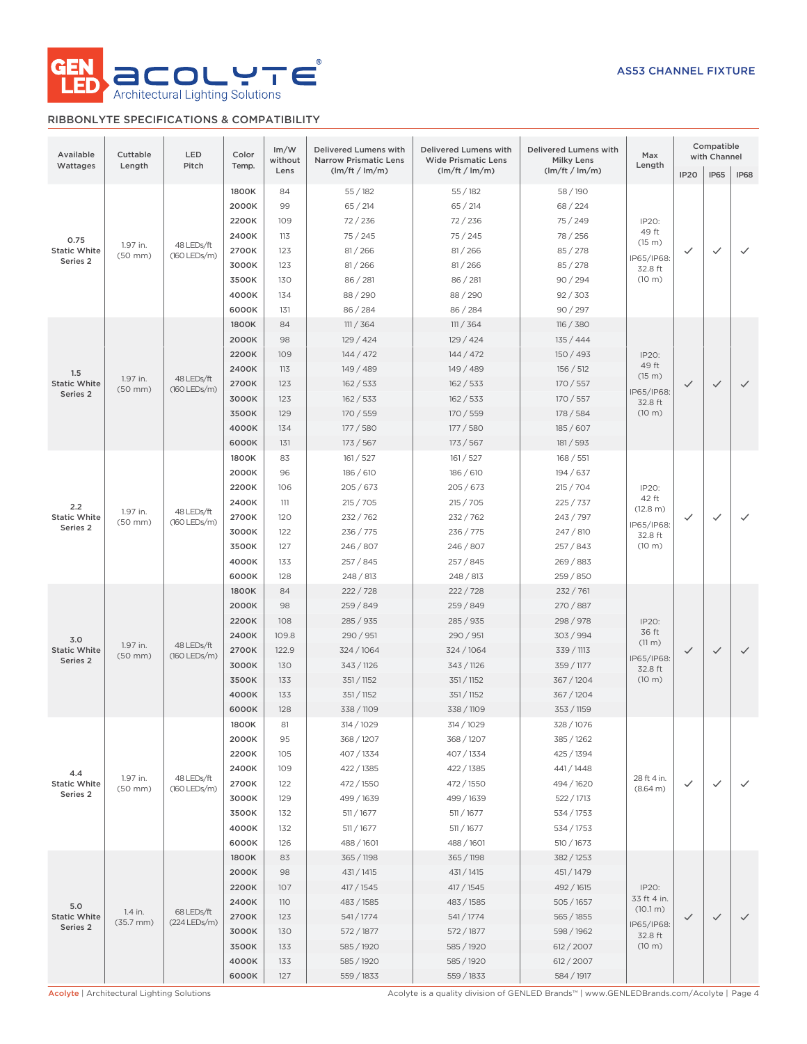

## RIBBONLYTE SPECIFICATIONS & COMPATIBILITY

| Available<br>Wattages                      | Cuttable<br>Length       | LED<br>Pitch               | Color<br>Temp. | Im/W<br>without | Delivered Lumens with<br><b>Narrow Prismatic Lens</b> | Delivered Lumens with<br><b>Wide Prismatic Lens</b> | Delivered Lumens with<br><b>Milky Lens</b> | Max<br>Length        |             | Compatible<br>with Channel |              |
|--------------------------------------------|--------------------------|----------------------------|----------------|-----------------|-------------------------------------------------------|-----------------------------------------------------|--------------------------------------------|----------------------|-------------|----------------------------|--------------|
|                                            |                          |                            |                | Lens            | (lm/ft / lm/m)                                        | (lm/ft / lm/m)                                      | (lm/ft / lm/m)                             |                      | <b>IP20</b> | IP65                       | IP68         |
|                                            |                          |                            | 1800K          | 84              | 55/182                                                | 55/182                                              | 58/190                                     |                      |             |                            |              |
|                                            |                          |                            | 2000K          | 99              | 65 / 214                                              | 65 / 214                                            | 68 / 224                                   |                      |             |                            |              |
|                                            |                          |                            | 2200K          | 109             | 72/236                                                | 72/236                                              | 75 / 249                                   | IP20:                |             |                            |              |
| 0.75                                       |                          |                            | 2400K          | 113             | 75/245                                                | 75/245                                              | 78 / 256                                   | 49 ft<br>(15 m)      |             |                            |              |
| <b>Static White</b>                        | 1.97 in.<br>$(50$ mm $)$ | 48 LEDs/ft<br>(160 LEDs/m) | 2700K          | 123             | 81/266                                                | 81/266                                              | 85 / 278                                   | IP65/IP68:           | ✓           | $\checkmark$               | $\checkmark$ |
| Series <sub>2</sub>                        |                          |                            | 3000K          | 123             | 81/266                                                | 81 / 266                                            | 85 / 278                                   | 32.8 ft              |             |                            |              |
|                                            |                          |                            | 3500K          | 130             | 86 / 281                                              | 86 / 281                                            | 90/294                                     | (10 m)               |             |                            |              |
|                                            |                          |                            | 4000K          | 134             | 88/290                                                | 88/290                                              | 92 / 303                                   |                      |             |                            |              |
|                                            |                          |                            | 6000K          | 131             | 86 / 284                                              | 86 / 284                                            | 90 / 297                                   |                      |             |                            |              |
|                                            |                          |                            | 1800K          | 84              | 111 / 364                                             | 111 / 364                                           | 116 / 380                                  |                      |             |                            |              |
|                                            |                          |                            | 2000K          | 98              | 129 / 424                                             | 129/424                                             | 135/444                                    |                      |             |                            |              |
|                                            |                          |                            | 2200K          | 109             | 144 / 472                                             | 144 / 472                                           | 150 / 493                                  | IP20:                |             |                            |              |
| 1.5                                        | 1.97 in.                 | 48 LEDs/ft                 | 2400K          | 113             | 149 / 489                                             | 149 / 489                                           | 156 / 512                                  | 49 ft<br>(15 m)      |             |                            |              |
| <b>Static White</b>                        | $(50$ mm $)$             | (160 LEDs/m)               | 2700K          | 123             | 162 / 533                                             | 162 / 533                                           | 170 / 557                                  | IP65/IP68:           | ✓           | $\checkmark$               | $\checkmark$ |
| Series 2                                   |                          |                            | 3000K          | 123             | 162 / 533                                             | 162 / 533                                           | 170 / 557                                  | 32.8 ft              |             |                            |              |
|                                            |                          |                            | 3500K          | 129             | 170 / 559                                             | 170 / 559                                           | 178 / 584                                  | (10 m)               |             |                            |              |
|                                            |                          |                            | 4000K          | 134             | 177 / 580                                             | 177/580                                             | 185 / 607                                  |                      |             |                            |              |
|                                            |                          |                            | 6000K          | 131             | 173 / 567                                             | 173 / 567                                           | 181 / 593                                  |                      |             |                            |              |
|                                            |                          |                            | 1800K          | 83              | 161 / 527                                             | 161 / 527                                           | 168 / 551                                  |                      |             |                            |              |
|                                            |                          |                            | 2000K          | 96              | 186 / 610                                             | 186 / 610                                           | 194 / 637                                  |                      |             |                            |              |
|                                            |                          |                            | 2200K          | 106             | 205/673                                               | 205/673                                             | 215 / 704                                  | IP20:                |             |                            |              |
| 2.2                                        | 1.97 in.                 | 48 LEDs/ft                 | 2400K          | 111             | 215 / 705                                             | 215 / 705                                           | 225 / 737                                  | 42 ft<br>(12.8 m)    |             |                            |              |
| <b>Static White</b>                        | $(50$ mm $)$             | (160 LEDs/m)               | 2700K          | 120             | 232 / 762                                             | 232 / 762                                           | 243 / 797                                  | IP65/IP68:           | ✓           | $\checkmark$               | $\checkmark$ |
| Series 2                                   |                          |                            | 3000K          | 122             | 236 / 775                                             | 236 / 775                                           | 247 / 810                                  | 32.8 ft              |             |                            |              |
|                                            |                          |                            | 3500K          | 127             | 246 / 807                                             | 246 / 807                                           | 257 / 843                                  | (10 m)               |             |                            |              |
|                                            |                          |                            | 4000K          | 133             | 257 / 845                                             | 257/845                                             | 269 / 883                                  |                      |             |                            |              |
|                                            |                          |                            | 6000K          | 128             | 248 / 813                                             | 248 / 813                                           | 259 / 850                                  |                      |             |                            |              |
|                                            |                          |                            | 1800K          | 84              | 222 / 728                                             | 222/728                                             | 232 / 761                                  |                      |             |                            |              |
|                                            |                          |                            | 2000K          | 98              | 259 / 849                                             | 259 / 849                                           | 270 / 887                                  |                      |             |                            |              |
|                                            |                          |                            | 2200K          | 108             | 285 / 935                                             | 285 / 935                                           | 298 / 978                                  | IP20:                |             |                            |              |
| 3.0                                        | 1.97 in.                 | 48 LEDs/ft                 | 2400K          | 109.8           | 290 / 951                                             | 290 / 951                                           | 303 / 994                                  | 36 ft<br>(11 m)      |             |                            |              |
| <b>Static White</b><br>Series <sub>2</sub> | $(50$ mm $)$             | (160 LEDs/m)               | 2700K          | 122.9           | 324 / 1064                                            | 324 / 1064                                          | 339 / 1113                                 | IP65/IP68:           | ✓           | $\checkmark$               | $\checkmark$ |
|                                            |                          |                            | 3000K          | 130             | 343 / 1126                                            | 343 / 1126                                          | 359 / 1177                                 | 32.8 ft              |             |                            |              |
|                                            |                          |                            | 3500K          | 133             | 351 / 1152                                            | 351 / 1152                                          | 367 / 1204                                 | $(10 \text{ m})$     |             |                            |              |
|                                            |                          |                            | 4000K          | 133             | 351 / 1152                                            | 351 / 1152                                          | 367 / 1204                                 |                      |             |                            |              |
|                                            |                          |                            | 6000K          | 128             | 338 / 1109                                            | 338 / 1109                                          | 353 / 1159                                 |                      |             |                            |              |
|                                            |                          |                            | 1800K          | 81              | 314 / 1029                                            | 314 / 1029                                          | 328 / 1076                                 |                      |             |                            |              |
|                                            |                          |                            | 2000K          | 95              | 368 / 1207                                            | 368/1207                                            | 385 / 1262                                 |                      |             |                            |              |
|                                            |                          |                            | 2200K          | 105             | 407 / 1334                                            | 407 / 1334                                          | 425 / 1394                                 |                      |             |                            |              |
| 4.4                                        | 1.97 in.                 | 48 LEDs/ft                 | 2400K          | 109             | 422 / 1385                                            | 422 / 1385                                          | 441/1448                                   | 28 ft 4 in.          |             |                            |              |
| <b>Static White</b><br>Series 2            | $(50$ mm $)$             | (160 LEDs/m)               | 2700K          | 122             | 472 / 1550                                            | 472 / 1550                                          | 494 / 1620                                 | (8.64 m)             | ✓           | $\checkmark$               | $\checkmark$ |
|                                            |                          |                            | 3000K          | 129             | 499 / 1639                                            | 499 / 1639                                          | 522 / 1713                                 |                      |             |                            |              |
|                                            |                          |                            | 3500K          | 132             | 511 / 1677                                            | 511 / 1677                                          | 534 / 1753                                 |                      |             |                            |              |
|                                            |                          |                            | 4000K          | 132             | 511 / 1677                                            | 511 / 1677                                          | 534 / 1753                                 |                      |             |                            |              |
|                                            |                          |                            | 6000K          | 126             | 488 / 1601                                            | 488 / 1601                                          | 510 / 1673                                 |                      |             |                            |              |
|                                            |                          |                            | 1800K          | 83              | 365 / 1198                                            | 365 / 1198                                          | 382 / 1253                                 |                      |             |                            |              |
|                                            |                          |                            | 2000K          | 98              | 431 / 1415                                            | 431 / 1415                                          | 451 / 1479                                 |                      |             |                            |              |
|                                            |                          |                            | 2200K          | 107             | 417 / 1545                                            | 417 / 1545                                          | 492 / 1615                                 | IP20:<br>33 ft 4 in. |             |                            |              |
| 5.0                                        | 1.4 in.                  | 68 LEDs/ft                 | 2400K          | <b>110</b>      | 483 / 1585                                            | 483 / 1585                                          | 505 / 1657                                 | (10.1 m)             |             |                            |              |
| <b>Static White</b><br>Series 2            | $(35.7 \, \text{mm})$    | (224 LEDs/m)               | 2700K          | 123             | 541/1774                                              | 541/1774                                            | 565 / 1855                                 | IP65/IP68:           | ✓           | $\checkmark$               | $\checkmark$ |
|                                            |                          |                            | 3000K          | 130             | 572 / 1877                                            | 572 / 1877                                          | 598 / 1962                                 | 32.8 ft              |             |                            |              |
|                                            |                          |                            | 3500K          | 133             | 585 / 1920                                            | 585 / 1920                                          | 612 / 2007                                 | (10 m)               |             |                            |              |
|                                            |                          |                            | 4000K          | 133             | 585 / 1920                                            | 585 / 1920                                          | 612 / 2007                                 |                      |             |                            |              |
|                                            |                          |                            | 6000K          | 127             | 559 / 1833                                            | 559 / 1833                                          | 584 / 1917                                 |                      |             |                            |              |

Acolyte | Architectural Lighting Solutions **Acolyte is a quality division of GENLED Brands™** | www.GENLEDBrands.com/Acolyte | Page 4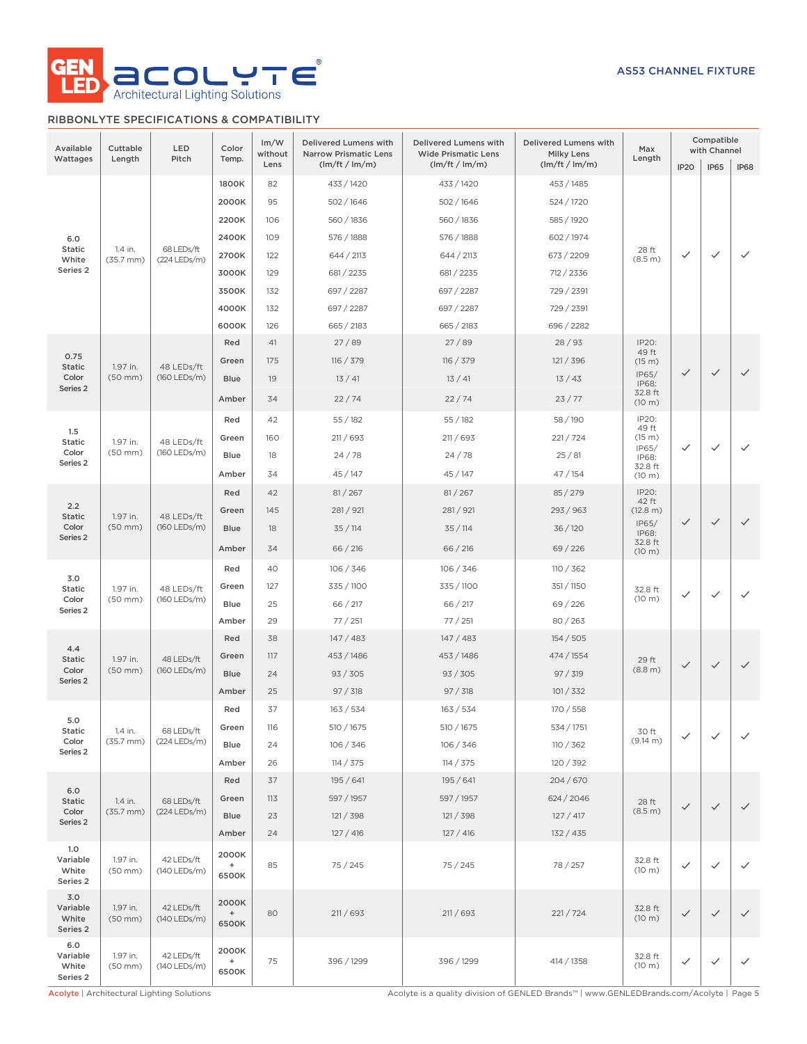

## RIBBONLYTE SPECIFICATIONS & COMPATIBILITY

| Available<br>Wattages                           | Cuttable<br>Length        | LED<br>Pitch                 | Color<br>Temp.                                     | Im/W<br>without<br>Lens | <b>Delivered Lumens with</b><br><b>Narrow Prismatic Lens</b><br>(lm/ft / lm/m) | Delivered Lumens with<br><b>Wide Prismatic Lens</b><br>(lm/ft / lm/m) | Delivered Lumens with<br><b>Milky Lens</b><br>(lm/ft / lm/m) | Max<br>Length     | IP <sub>20</sub> | Compatible<br>with Channel<br><b>IP65</b> | <b>IP68</b>  |
|-------------------------------------------------|---------------------------|------------------------------|----------------------------------------------------|-------------------------|--------------------------------------------------------------------------------|-----------------------------------------------------------------------|--------------------------------------------------------------|-------------------|------------------|-------------------------------------------|--------------|
|                                                 |                           |                              | 1800K                                              | 82                      | 433 / 1420                                                                     | 433 / 1420                                                            | 453 / 1485                                                   |                   |                  |                                           |              |
|                                                 |                           |                              | 2000K                                              | 95                      | 502/1646                                                                       | 502/1646                                                              | 524 / 1720                                                   |                   |                  |                                           |              |
|                                                 |                           |                              | 2200K                                              | 106                     | 560 / 1836                                                                     | 560 / 1836                                                            | 585 / 1920                                                   |                   |                  |                                           |              |
| 6.0                                             |                           |                              | 2400K                                              | 109                     | 576 / 1888                                                                     | 576 / 1888                                                            | 602 / 1974                                                   |                   |                  |                                           |              |
| <b>Static</b><br>White                          | 1.4 in.<br>$(35.7$ mm $)$ | 68 LEDs/ft<br>(224 LEDs/m)   | 2700K                                              | 122                     | 644 / 2113                                                                     | 644 / 2113                                                            | 673 / 2209                                                   | 28 ft<br>(8.5 m)  | $\checkmark$     | $\checkmark$                              | $\checkmark$ |
| Series <sub>2</sub>                             |                           |                              | 3000K                                              | 129                     | 681/2235                                                                       | 681 / 2235                                                            | 712 / 2336                                                   |                   |                  |                                           |              |
|                                                 |                           |                              | 3500K                                              | 132                     | 697 / 2287                                                                     | 697 / 2287                                                            | 729 / 2391                                                   |                   |                  |                                           |              |
|                                                 |                           |                              | 4000K                                              | 132                     | 697 / 2287                                                                     | 697 / 2287                                                            | 729 / 2391                                                   |                   |                  |                                           |              |
|                                                 |                           |                              | 6000K                                              | 126                     | 665 / 2183                                                                     | 665 / 2183                                                            | 696 / 2282                                                   |                   |                  |                                           |              |
|                                                 |                           |                              | Red                                                | 41                      | 27/89                                                                          | 27/89                                                                 | 28/93                                                        | IP20:             |                  |                                           |              |
| 0.75<br><b>Static</b>                           | 1.97 in.                  | 48 LEDs/ft                   | Green                                              | 175                     | 116 / 379                                                                      | 116 / 379                                                             | 121 / 396                                                    | 49 ft<br>(15 m)   |                  |                                           |              |
| Color                                           | $(50$ mm $)$              | (160 LEDs/m)                 | <b>Blue</b>                                        | 19                      | 13/41                                                                          | 13/41                                                                 | 13/43                                                        | IP65/<br>IP68:    | $\checkmark$     | $\checkmark$                              | $\checkmark$ |
| Series <sub>2</sub>                             |                           |                              | Amber                                              | 34                      | 22/74                                                                          | 22/74                                                                 | 23/77                                                        | 32.8 ft<br>(10 m) |                  |                                           |              |
|                                                 |                           |                              | Red                                                | 42                      | 55/182                                                                         | 55/182                                                                | 58 / 190                                                     | IP20:<br>49 ft    |                  |                                           |              |
| 1.5<br><b>Static</b>                            | 1.97 in.                  | 48 LEDs/ft                   | Green                                              | 160                     | 211/693                                                                        | 211 / 693                                                             | 221/724                                                      | (15 m)<br>IP65/   | $\checkmark$     | $\checkmark$                              | ✓            |
| Color<br>Series <sub>2</sub>                    | $(50$ mm $)$              | (160 LEDs/m)                 | Blue                                               | 18                      | 24/78                                                                          | 24/78                                                                 | 25/81                                                        | IP68:             |                  |                                           |              |
|                                                 |                           |                              | Amber                                              | 34                      | 45/147                                                                         | 45/147                                                                | 47/154                                                       | 32.8 ft<br>(10 m) |                  |                                           |              |
|                                                 |                           |                              | Red                                                | 42                      | 81 / 267                                                                       | 81 / 267                                                              | 85/279                                                       | IP20:<br>42 ft    |                  |                                           |              |
| 2.2<br><b>Static</b>                            | 1.97 in.                  | 48 LEDs/ft                   | Green                                              | 145                     | 281/921                                                                        | 281/921                                                               | 293 / 963                                                    | (12.8 m)          |                  |                                           |              |
| Color<br>Series <sub>2</sub>                    | $(50$ mm $)$              | (160 LEDs/m)                 | <b>Blue</b>                                        | 18                      | 35/114                                                                         | 35/114                                                                | 36/120                                                       | IP65/<br>IP68:    | $\checkmark$     | $\checkmark$                              | $\checkmark$ |
|                                                 |                           |                              | Amber                                              | 34                      | 66 / 216                                                                       | 66 / 216                                                              | 69/226                                                       | 32.8 ft<br>(10 m) |                  |                                           |              |
|                                                 |                           |                              | Red                                                | 40                      | 106 / 346                                                                      | 106 / 346                                                             | 110 / 362                                                    |                   |                  |                                           |              |
| 3.0<br><b>Static</b>                            | 1.97 in.                  | 48 LEDs/ft                   | Green                                              | 127                     | 335 / 1100                                                                     | 335 / 1100                                                            | 351 / 1150                                                   | 32.8 ft           |                  |                                           |              |
| Color<br>Series <sub>2</sub>                    | $(50$ mm $)$              | (160 LEDs/m)                 | Blue                                               | 25                      | 66 / 217                                                                       | 66 / 217                                                              | 69/226                                                       | (10 m)            | $\checkmark$     | $\checkmark$                              | $\checkmark$ |
|                                                 |                           |                              | Amber                                              | 29                      | 77/251                                                                         | 77/251                                                                | 80/263                                                       |                   |                  |                                           |              |
|                                                 |                           |                              | Red                                                | 38                      | 147/483                                                                        | 147 / 483                                                             | 154/505                                                      |                   |                  |                                           |              |
| 4.4<br><b>Static</b>                            | 1.97 in.                  | 48 LEDs/ft                   | Green                                              | 117                     | 453 / 1486                                                                     | 453 / 1486                                                            | 474 / 1554                                                   | 29 ft             | $\checkmark$     | $\checkmark$                              |              |
| Color<br>Series <sub>2</sub>                    | $(50$ mm $)$              | (160 LEDs/m)                 | Blue                                               | 24                      | 93 / 305                                                                       | 93 / 305                                                              | 97 / 319                                                     | (8.8 m)           |                  |                                           |              |
|                                                 |                           |                              | Amber                                              | 25                      | 97 / 318                                                                       | 97 / 318                                                              | 101 / 332                                                    |                   |                  |                                           |              |
| 5.0                                             |                           |                              | Red                                                | 37                      | 163 / 534                                                                      | 163 / 534                                                             | 170 / 558                                                    |                   |                  |                                           |              |
| Static                                          | 1.4 in.                   | 68 LEDs/ft                   | Green                                              | 116                     | 510 / 1675                                                                     | 510 / 1675                                                            | 534 / 1751                                                   | 30 ft             | $\checkmark$     | $\checkmark$                              | $\checkmark$ |
| Color<br>Series 2                               | $(35.7 \, \text{mm})$     | (224 LEDs/m)                 | Blue                                               | 24                      | 106 / 346                                                                      | 106 / 346                                                             | 110 / 362                                                    | (9.14 m)          |                  |                                           |              |
|                                                 |                           |                              | Amber                                              | 26                      | 114 / 375                                                                      | 114 / 375                                                             | 120 / 392                                                    |                   |                  |                                           |              |
| 6.0                                             |                           |                              | Red                                                | 37                      | 195 / 641                                                                      | 195 / 641                                                             | 204 / 670                                                    |                   |                  |                                           |              |
| <b>Static</b>                                   | 1.4 in.                   | 68 LEDs/ft                   | Green                                              | 113                     | 597 / 1957                                                                     | 597 / 1957                                                            | 624 / 2046                                                   | 28 ft             | $\checkmark$     | $\checkmark$                              | $\checkmark$ |
| Color<br>Series 2                               | $(35.7$ mm $)$            | (224 LEDs/m)                 | <b>Blue</b>                                        | 23                      | 121 / 398                                                                      | 121 / 398                                                             | 127/417                                                      | (8.5 m)           |                  |                                           |              |
|                                                 |                           |                              | Amber                                              | 24                      | 127 / 416                                                                      | 127/416                                                               | 132 / 435                                                    |                   |                  |                                           |              |
| 1.0<br>Variable<br>White<br>Series <sub>2</sub> | 1.97 in.<br>$(50$ mm $)$  | 42 LEDs/ft<br>(140 LEDs/m)   | 2000K<br>$\begin{array}{c} + \end{array}$<br>6500K | 85                      | 75/245                                                                         | 75 / 245                                                              | 78 / 257                                                     | 32.8 ft<br>(10 m) | $\checkmark$     | ✓                                         | $\checkmark$ |
| 3.0<br>Variable<br>White<br>Series 2            | 1.97 in.<br>$(50$ mm $)$  | 42 LEDs/ft<br>$(140$ LEDs/m) | 2000K<br>$\begin{array}{c} + \end{array}$<br>6500K | 80                      | 211/693                                                                        | 211/693                                                               | 221/724                                                      | 32.8 ft<br>(10 m) | $\checkmark$     | $\checkmark$                              | $\checkmark$ |
| 6.0<br>Variable<br>White<br>Series 2            | 1.97 in.<br>$(50$ mm $)$  | 42 LEDs/ft<br>(140 LEDs/m)   | 2000K<br>$\begin{array}{c} + \end{array}$<br>6500K | 75                      | 396 / 1299                                                                     | 396 / 1299                                                            | 414 / 1358                                                   | 32.8 ft<br>(10 m) | $\checkmark$     | $\checkmark$                              | $\checkmark$ |

Acolyte | Architectural Lighting Solutions **Acolyte is a quality division of GENLED Brands™** | www.GENLEDBrands.com/Acolyte | Page 5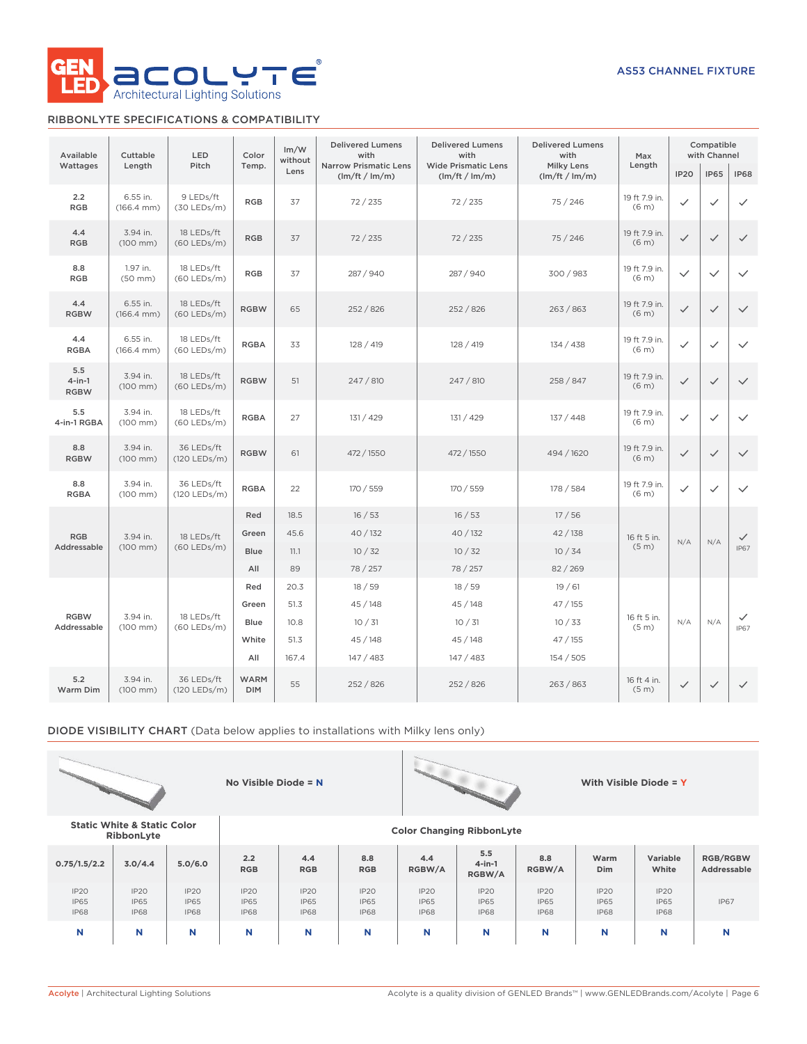

### RIBBONLYTE SPECIFICATIONS & COMPATIBILITY

| Available                       | Cuttable                           | LED                         | Color                     | Im/W<br>without | <b>Delivered Lumens</b><br>with                | <b>Delivered Lumens</b><br>with              | <b>Delivered Lumens</b><br>with     | Max                                |                  | Compatible<br>with Channel |              |
|---------------------------------|------------------------------------|-----------------------------|---------------------------|-----------------|------------------------------------------------|----------------------------------------------|-------------------------------------|------------------------------------|------------------|----------------------------|--------------|
| Wattages                        | Length                             | Pitch                       | Temp.                     | Lens            | <b>Narrow Prismatic Lens</b><br>(lm/ft / lm/m) | <b>Wide Prismatic Lens</b><br>(lm/ft / lm/m) | <b>Milky Lens</b><br>(lm/ft / lm/m) | Length                             | IP <sub>20</sub> | <b>IP65</b>                | <b>IP68</b>  |
| 2.2<br><b>RGB</b>               | 6.55 in.<br>$(166.4 \, \text{mm})$ | 9 LEDs/ft<br>$(30$ LEDs/m)  | <b>RGB</b>                | 37              | 72/235                                         | 72/235                                       | 75 / 246                            | 19 ft 7.9 in.<br>(6 <sub>m</sub> ) | ✓                | $\checkmark$               | ✓            |
| 4.4<br><b>RGB</b>               | 3.94 in.<br>$(100$ mm $)$          | 18 LEDs/ft<br>(60 LEDs/m)   | <b>RGB</b>                | 37              | 72/235                                         | 72/235                                       | 75/246                              | 19 ft 7.9 in.<br>(6 <sub>m</sub> ) | $\checkmark$     | $\checkmark$               | $\checkmark$ |
| 8.8<br><b>RGB</b>               | 1.97 in.<br>$(50$ mm $)$           | 18 LEDs/ft<br>$(60$ LEDs/m) | <b>RGB</b>                | 37              | 287 / 940                                      | 287 / 940                                    | 300 / 983                           | 19 ft 7.9 in.<br>(6 <sub>m</sub> ) | $\checkmark$     | $\checkmark$               | $\checkmark$ |
| 4.4<br><b>RGBW</b>              | 6.55 in.<br>$(166.4 \, \text{mm})$ | 18 LEDs/ft<br>$(60$ LEDs/m) | <b>RGBW</b>               | 65              | 252 / 826                                      | 252/826                                      | 263 / 863                           | 19 ft 7.9 in.<br>(6 <sub>m</sub> ) | $\checkmark$     | $\checkmark$               | $\checkmark$ |
| 4.4<br><b>RGBA</b>              | 6.55 in.<br>$(166.4 \, \text{mm})$ | 18 LEDs/ft<br>$(60$ LEDs/m) | <b>RGBA</b>               | 33              | 128 / 419                                      | 128 / 419                                    | 134 / 438                           | 19 ft 7.9 in.<br>(6 <sub>m</sub> ) | ✓                | $\checkmark$               | $\checkmark$ |
| 5.5<br>$4$ -in-1<br><b>RGBW</b> | 3.94 in.<br>$(100$ mm $)$          | 18 LEDs/ft<br>$(60$ LEDs/m) | <b>RGBW</b>               | 51              | 247 / 810                                      | 247 / 810                                    | 258 / 847                           | 19 ft 7.9 in.<br>(6 <sub>m</sub> ) | $\checkmark$     | $\checkmark$               | $\checkmark$ |
| 5.5<br>4-in-1 RGBA              | 3.94 in.<br>$(100 \, \text{mm})$   | 18 LEDs/ft<br>(60 LEDs/m)   | <b>RGBA</b>               | 27              | 131 / 429                                      | 131 / 429                                    | 137 / 448                           | 19 ft 7.9 in.<br>(6 <sub>m</sub> ) | $\checkmark$     | $\checkmark$               | $\checkmark$ |
| 8.8<br><b>RGBW</b>              | 3.94 in.<br>$(100$ mm $)$          | 36 LEDs/ft<br>(120 LEDs/m)  | <b>RGBW</b>               | 61              | 472 / 1550                                     | 472 / 1550                                   | 494 / 1620                          | 19 ft 7.9 in.<br>(6 <sub>m</sub> ) | $\checkmark$     | $\checkmark$               | $\checkmark$ |
| 8.8<br><b>RGBA</b>              | 3.94 in.<br>$(100$ mm $)$          | 36 LEDs/ft<br>(120 LEDs/m)  | <b>RGBA</b>               | 22              | 170 / 559                                      | 170 / 559                                    | 178 / 584                           | 19 ft 7.9 in.<br>(6 <sub>m</sub> ) | $\checkmark$     | $\checkmark$               | $\checkmark$ |
|                                 |                                    |                             | Red                       | 18.5            | 16/53                                          | 16/53                                        | 17/56                               |                                    |                  |                            |              |
| <b>RGB</b>                      | 3.94 in.                           | 18 LEDs/ft                  | Green                     | 45.6            | 40 / 132                                       | 40 / 132                                     | 42/138                              | 16 ft 5 in.                        | N/A              | N/A                        | $\checkmark$ |
| Addressable                     | $(100$ mm)                         | $(60$ LEDs/m)               | <b>Blue</b>               | 11.1            | 10/32                                          | 10/32                                        | 10/34                               | (5 <sub>m</sub> )                  |                  |                            | <b>IP67</b>  |
|                                 |                                    |                             | All                       | 89              | 78 / 257                                       | 78 / 257                                     | 82 / 269                            |                                    |                  |                            |              |
|                                 |                                    |                             | Red<br>Green              | 20.3            | 18/59                                          | 18/59                                        | 19/61                               |                                    |                  |                            |              |
| <b>RGBW</b>                     | 3.94 in.                           | 18 LEDs/ft                  | Blue                      | 51.3<br>10.8    | 45/148<br>10/31                                | 45/148<br>10/31                              | 47/155<br>10/33                     | 16 ft 5 in.                        | N/A              | N/A                        | ✓            |
| Addressable                     | $(100$ mm $)$                      | $(60$ LEDs/m)               | White                     | 51.3            | 45/148                                         | 45/148                                       | 47/155                              | (5 <sub>m</sub> )                  |                  |                            | <b>IP67</b>  |
|                                 |                                    |                             | All                       | 167.4           | 147/483                                        | 147/483                                      | 154/505                             |                                    |                  |                            |              |
| 5.2<br>Warm Dim                 | 3.94 in.<br>(100 mm)               | 36 LEDs/ft<br>(120 LEDs/m)  | <b>WARM</b><br><b>DIM</b> | 55              | 252 / 826                                      | 252/826                                      | 263/863                             | 16 ft 4 in.<br>(5 <sub>m</sub> )   | $\checkmark$     | $\checkmark$               | $\checkmark$ |

DIODE VISIBILITY CHART (Data below applies to installations with Milky lens only)





**RibbonLyte Color Changing RibbonLyte**

**No Visible Diode = N With Visible Diode = Y**

**Static White & Static Color**

| 0.75/1.5/2.2                       | 3.0/4.4                            | 5.0/6.0                                        | 2.2<br><b>RGB</b>                  | 4.4<br><b>RGB</b>                  | 8.8<br><b>RGB</b>                  | 4.4<br>RGBW/A                      | 5.5<br>$4$ -in-1<br>RGBW/A                     | 8.8<br>RGBW/A                      | Warm<br>Dim                        | Variable<br>White                  | <b>RGB/RGBW</b><br>Addressable |
|------------------------------------|------------------------------------|------------------------------------------------|------------------------------------|------------------------------------|------------------------------------|------------------------------------|------------------------------------------------|------------------------------------|------------------------------------|------------------------------------|--------------------------------|
| IP2O<br><b>IP65</b><br><b>IP68</b> | IP20<br><b>IP65</b><br><b>IP68</b> | IP <sub>20</sub><br><b>IP65</b><br><b>IP68</b> | IP2O<br><b>IP65</b><br><b>IP68</b> | IP2O<br><b>IP65</b><br><b>IP68</b> | IP2O<br><b>IP65</b><br><b>IP68</b> | IP2O<br><b>IP65</b><br><b>IP68</b> | IP <sub>20</sub><br><b>IP65</b><br><b>IP68</b> | IP2O<br><b>IP65</b><br><b>IP68</b> | IP2O<br><b>IP65</b><br><b>IP68</b> | IP2O<br><b>IP65</b><br><b>IP68</b> | <b>IP67</b>                    |
| N                                  | N                                  |                                                | N                                  | N                                  | N                                  | N                                  | N                                              | N                                  | N                                  |                                    | N                              |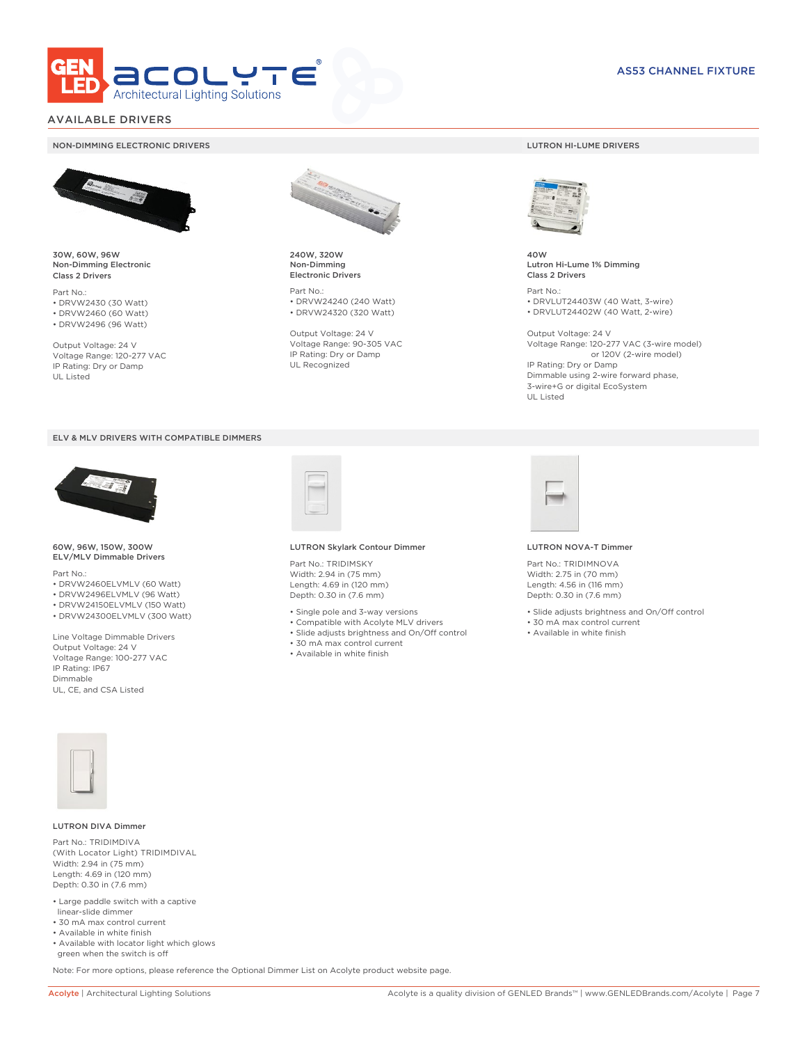

### AVAILABLE DRIVERS

#### NON-DIMMING ELECTRONIC DRIVERS LUTRON HI-LUME DRIVERS



30W, 60W, 96W Non-Dimming Electronic Class 2 Drivers

Part No.: • DRVW2430 (30 Watt) • DRVW2460 (60 Watt)

• DRVW2496 (96 Watt)

Output Voltage: 24 V Voltage Range: 120-277 VAC IP Rating: Dry or Damp UL Listed





60W, 96W, 150W, 300W ELV/MLV Dimmable Drivers

Part No.:

- DRVW2460ELVMLV (60 Watt)
- DRVW2496ELVMLV (96 Watt)
- DRVW24150ELVMLV (150 Watt) • DRVW24300ELVMLV (300 Watt)

Line Voltage Dimmable Drivers Output Voltage: 24 V Voltage Range: 100-277 VAC IP Rating: IP67 Dimmable UL, CE, and CSA Listed



240W, 320W Non-Dimming Electronic Drivers

Part No.: • DRVW24240 (240 Watt) • DRVW24320 (320 Watt)

Output Voltage: 24 V Voltage Range: 90-305 VAC IP Rating: Dry or Damp UL Recognized



40W Lutron Hi-Lume 1% Dimming Class 2 Drivers

Part No.: • DRVLUT24403W (40 Watt, 3-wire) • DRVLUT24402W (40 Watt, 2-wire)

Output Voltage: 24 V Voltage Range: 120-277 VAC (3-wire model) or 120V (2-wire model) IP Rating: Dry or Damp Dimmable using 2-wire forward phase, 3-wire+G or digital EcoSystem UL Listed



#### LUTRON Skylark Contour Dimmer

Part No.: TRIDIMSKY Width: 2.94 in (75 mm) Length: 4.69 in (120 mm) Depth: 0.30 in (7.6 mm)

- Single pole and 3-way versions
- Compatible with Acolyte MLV drivers
- Slide adjusts brightness and On/Off control
- 30 mA max control current
- Available in white finish



#### LUTRON NOVA-T Dimmer

Part No.: TRIDIMNOVA Width: 2.75 in (70 mm) Length: 4.56 in (116 mm) Depth: 0.30 in (7.6 mm)

- Slide adjusts brightness and On/Off control
- 30 mA max control current
- Available in white finish



#### LUTRON DIVA Dimmer

Part No.: TRIDIMDIVA (With Locator Light) TRIDIMDIVAL Width: 2.94 in (75 mm) Length: 4.69 in (120 mm) Depth: 0.30 in (7.6 mm)

- Large paddle switch with a captive linear-slide dimmer
- 30 mA max control current
- Available in white finish
- Available with locator light which glows green when the switch is off

Note: For more options, please reference the Optional Dimmer List on Acolyte product website page.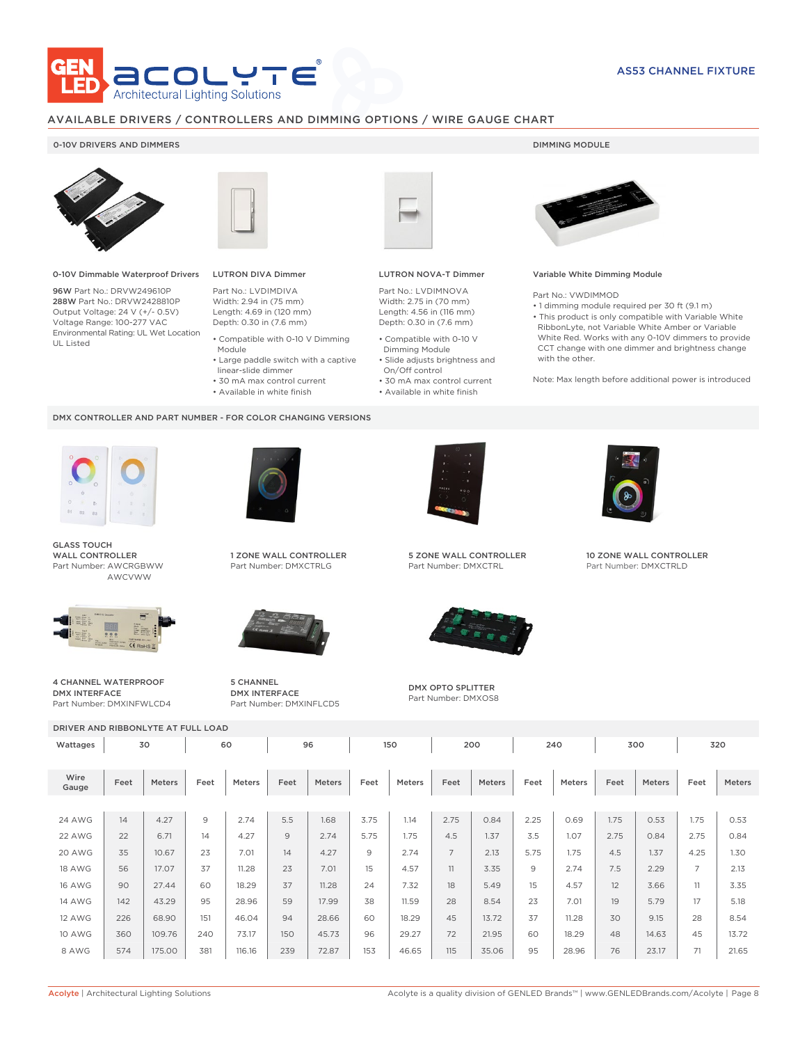

### AVAILABLE DRIVERS / CONTROLLERS AND DIMMING OPTIONS / WIRE GAUGE CHART

### 0-10V DRIVERS AND DIMMERS **DIMMING MODULE**



0-10V Dimmable Waterproof Drivers

96W Part No.: DRVW249610P 288W Part No.: DRVW2428810P Output Voltage: 24 V (+/- 0.5V) Voltage Range: 100-277 VAC Environmental Rating: UL Wet Location UL Listed



## LUTRON DIVA Dimmer

Part No.: LVDIMDIVA Width: 2.94 in (75 mm) Length: 4.69 in (120 mm) Depth: 0.30 in (7.6 mm)

- Compatible with 0-10 V Dimming Module
- Large paddle switch with a captive
- linear-slide dimmer
- 30 mA max control current
- Available in white finish

#### DMX CONTROLLER AND PART NUMBER - FOR COLOR CHANGING VERSIONS



GLASS TOUCH WALL CONTROLLER Part Number: AWCRGBWW AWCVWW



4 CHANNEL WATERPROOF



1 ZONE WALL CONTROLLER Part Number: DMXCTRLG



5 CHANNEL DMX INTERFACE Part Number: DMXINFLCD5



### LUTRON NOVA-T Dimmer

Part No.: LVDIMNOVA Width: 2.75 in (70 mm) Length: 4.56 in (116 mm) Depth: 0.30 in (7.6 mm)

- Compatible with 0-10 V Dimming Module
- Slide adjusts brightness and On/Off control
- 30 mA max control current • Available in white finish
	-



#### Variable White Dimming Module

Part No.: VWDIMMOD

• 1 dimming module required per 30 ft (9.1 m) • This product is only compatible with Variable White RibbonLyte, not Variable White Amber or Variable White Red. Works with any 0-10V dimmers to provide CCT change with one dimmer and brightness change with the other.

Note: Max length before additional power is introduced



5 ZONE WALL CONTROLLER Part Number: DMXCTRL



DMX OPTO SPLITTER Part Number: DMXOS8



10 ZONE WALL CONTROLLER Part Number: DMXCTRLD

DMX INTERFACE Part Number: DMXINFWLCD4

DRIVER AND RIBBONLYTE AT FULL LOAD

| Wattages      |      | 30            |                | 60     |      | 96     |      | 150    |                | 200    |                | 240    |      | 300    |                | 320    |
|---------------|------|---------------|----------------|--------|------|--------|------|--------|----------------|--------|----------------|--------|------|--------|----------------|--------|
| Wire<br>Gauge | Feet | <b>Meters</b> | Feet           | Meters | Feet | Meters | Feet | Meters | Feet           | Meters | Feet           | Meters | Feet | Meters | Feet           | Meters |
| <b>24 AWG</b> | 14   | 4.27          | $\overline{9}$ | 2.74   | 5.5  | 1.68   | 3.75 | 1.14   | 2.75           | 0.84   | 2.25           | 0.69   | 1.75 | 0.53   | 1.75           | 0.53   |
| 22 AWG        | 22   | 6.71          | 14             | 4.27   | 9    | 2.74   | 5.75 | 1.75   | 4.5            | 1.37   | 3.5            | 1.07   | 2.75 | 0.84   | 2.75           | 0.84   |
| 20 AWG        | 35   | 10.67         | 23             | 7.01   | 14   | 4.27   | 9    | 2.74   | $\overline{7}$ | 2.13   | 5.75           | 1.75   | 4.5  | 1.37   | 4.25           | 1.30   |
| <b>18 AWG</b> | 56   | 17.07         | 37             | 11.28  | 23   | 7.01   | 15   | 4.57   | 11             | 3.35   | $\overline{9}$ | 2.74   | 7.5  | 2.29   | $\overline{7}$ | 2.13   |
| <b>16 AWG</b> | 90   | 27.44         | 60             | 18.29  | 37   | 11.28  | 24   | 7.32   | 18             | 5.49   | 15             | 4.57   | 12   | 3.66   | 11             | 3.35   |
| <b>14 AWG</b> | 142  | 43.29         | 95             | 28.96  | 59   | 17.99  | 38   | 11.59  | 28             | 8.54   | 23             | 7.01   | 19   | 5.79   | 17             | 5.18   |
| <b>12 AWG</b> | 226  | 68.90         | 151            | 46.04  | 94   | 28.66  | 60   | 18.29  | 45             | 13.72  | 37             | 11.28  | 30   | 9.15   | 28             | 8.54   |
| <b>10 AWG</b> | 360  | 109.76        | 240            | 73.17  | 150  | 45.73  | 96   | 29.27  | 72             | 21.95  | 60             | 18.29  | 48   | 14.63  | 45             | 13.72  |
| 8 AWG         | 574  | 175.00        | 381            | 116.16 | 239  | 72.87  | 153  | 46.65  | 115            | 35.06  | 95             | 28.96  | 76   | 23.17  | 71             | 21.65  |